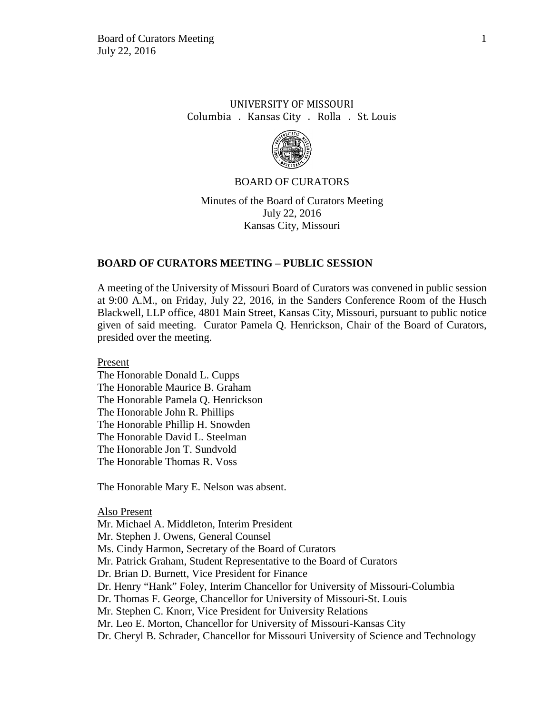# UNIVERSITY OF MISSOURI Columbia . Kansas City . Rolla . St. Louis



## BOARD OF CURATORS

Minutes of the Board of Curators Meeting July 22, 2016 Kansas City, Missouri

# **BOARD OF CURATORS MEETING – PUBLIC SESSION**

A meeting of the University of Missouri Board of Curators was convened in public session at 9:00 A.M., on Friday, July 22, 2016, in the Sanders Conference Room of the Husch Blackwell, LLP office, 4801 Main Street, Kansas City, Missouri, pursuant to public notice given of said meeting. Curator Pamela Q. Henrickson, Chair of the Board of Curators, presided over the meeting.

Present

The Honorable Donald L. Cupps The Honorable Maurice B. Graham The Honorable Pamela Q. Henrickson The Honorable John R. Phillips The Honorable Phillip H. Snowden The Honorable David L. Steelman The Honorable Jon T. Sundvold The Honorable Thomas R. Voss

The Honorable Mary E. Nelson was absent.

Also Present

Mr. Michael A. Middleton, Interim President

Mr. Stephen J. Owens, General Counsel

Ms. Cindy Harmon, Secretary of the Board of Curators

Mr. Patrick Graham, Student Representative to the Board of Curators

Dr. Brian D. Burnett, Vice President for Finance

Dr. Henry "Hank" Foley, Interim Chancellor for University of Missouri-Columbia

Dr. Thomas F. George, Chancellor for University of Missouri-St. Louis

Mr. Stephen C. Knorr, Vice President for University Relations

Mr. Leo E. Morton, Chancellor for University of Missouri-Kansas City

Dr. Cheryl B. Schrader, Chancellor for Missouri University of Science and Technology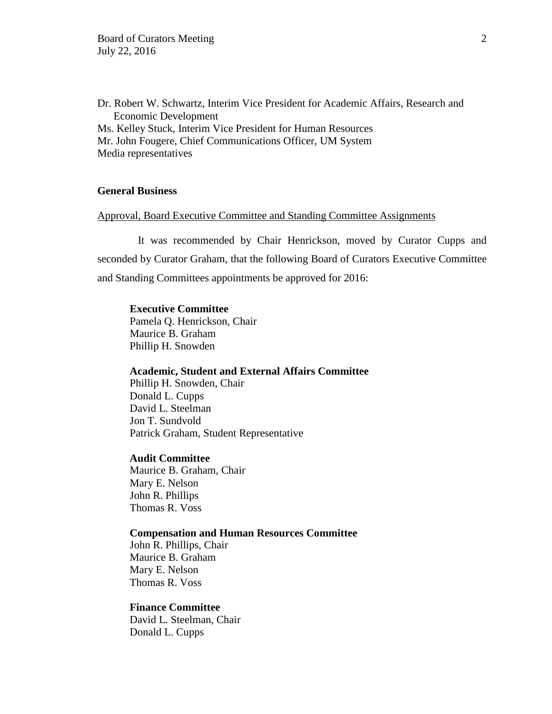Dr. Robert W. Schwartz, Interim Vice President for Academic Affairs, Research and Economic Development Ms. Kelley Stuck, Interim Vice President for Human Resources Mr. John Fougere, Chief Communications Officer, UM System Media representatives

# **General Business**

# Approval, Board Executive Committee and Standing Committee Assignments

It was recommended by Chair Henrickson, moved by Curator Cupps and seconded by Curator Graham, that the following Board of Curators Executive Committee and Standing Committees appointments be approved for 2016:

## **Executive Committee**

Pamela Q. Henrickson, Chair Maurice B. Graham Phillip H. Snowden

#### **Academic, Student and External Affairs Committee**

Phillip H. Snowden, Chair Donald L. Cupps David L. Steelman Jon T. Sundvold Patrick Graham, Student Representative

## **Audit Committee**

Maurice B. Graham, Chair Mary E. Nelson John R. Phillips Thomas R. Voss

### **Compensation and Human Resources Committee**

John R. Phillips, Chair Maurice B. Graham Mary E. Nelson Thomas R. Voss

## **Finance Committee**

David L. Steelman, Chair Donald L. Cupps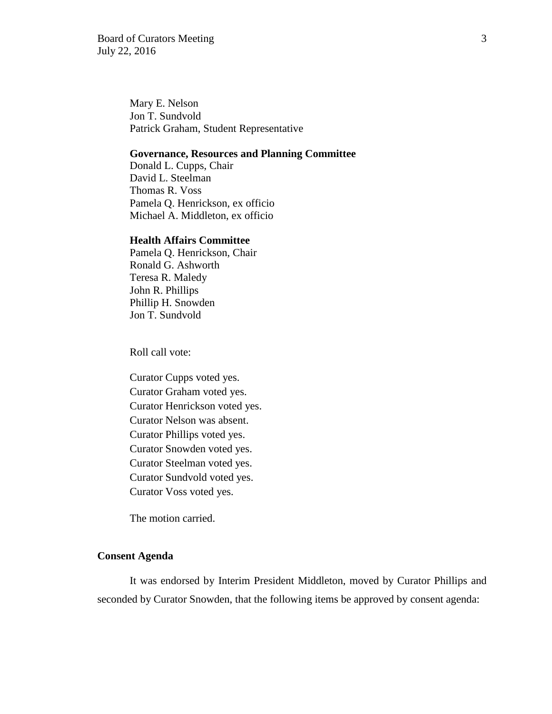Board of Curators Meeting 3 July 22, 2016

Mary E. Nelson Jon T. Sundvold Patrick Graham, Student Representative

### **Governance, Resources and Planning Committee**

Donald L. Cupps, Chair David L. Steelman Thomas R. Voss Pamela Q. Henrickson, ex officio Michael A. Middleton, ex officio

## **Health Affairs Committee**

Pamela Q. Henrickson, Chair Ronald G. Ashworth Teresa R. Maledy John R. Phillips Phillip H. Snowden Jon T. Sundvold

Roll call vote:

Curator Cupps voted yes. Curator Graham voted yes. Curator Henrickson voted yes. Curator Nelson was absent. Curator Phillips voted yes. Curator Snowden voted yes. Curator Steelman voted yes. Curator Sundvold voted yes. Curator Voss voted yes.

The motion carried.

# **Consent Agenda**

It was endorsed by Interim President Middleton, moved by Curator Phillips and seconded by Curator Snowden, that the following items be approved by consent agenda: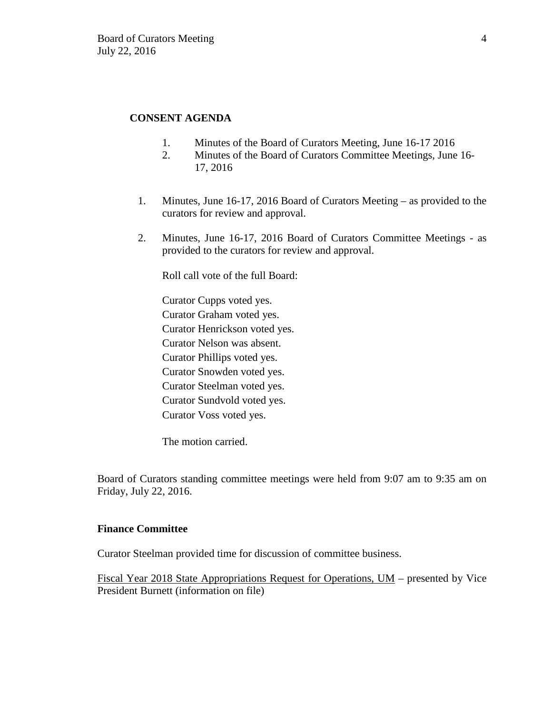# **CONSENT AGENDA**

- 1. Minutes of the Board of Curators Meeting, June 16-17 2016
- 2. Minutes of the Board of Curators Committee Meetings, June 16- 17, 2016
- 1. Minutes, June 16-17, 2016 Board of Curators Meeting as provided to the curators for review and approval.
- 2. Minutes, June 16-17, 2016 Board of Curators Committee Meetings as provided to the curators for review and approval.

Roll call vote of the full Board:

Curator Cupps voted yes. Curator Graham voted yes. Curator Henrickson voted yes. Curator Nelson was absent. Curator Phillips voted yes. Curator Snowden voted yes. Curator Steelman voted yes. Curator Sundvold voted yes. Curator Voss voted yes.

The motion carried.

Board of Curators standing committee meetings were held from 9:07 am to 9:35 am on Friday, July 22, 2016.

# **Finance Committee**

Curator Steelman provided time for discussion of committee business.

Fiscal Year 2018 State Appropriations Request for Operations, UM – presented by Vice President Burnett (information on file)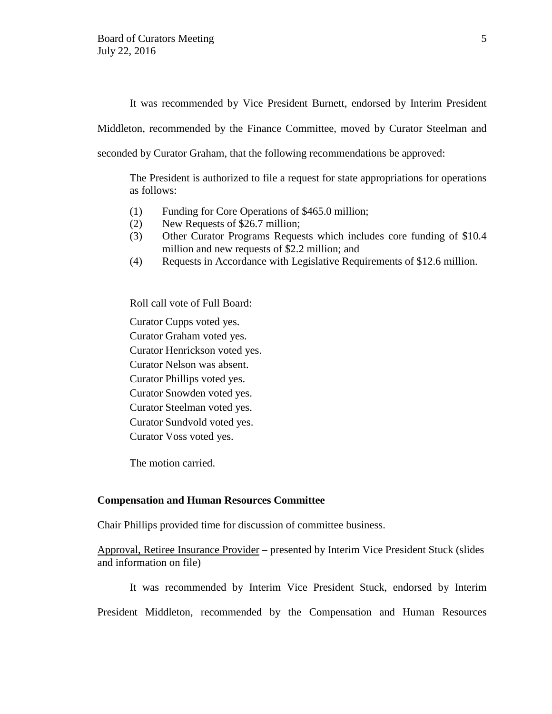It was recommended by Vice President Burnett, endorsed by Interim President

Middleton, recommended by the Finance Committee, moved by Curator Steelman and

seconded by Curator Graham, that the following recommendations be approved:

The President is authorized to file a request for state appropriations for operations as follows:

- (1) Funding for Core Operations of \$465.0 million;
- (2) New Requests of \$26.7 million;
- (3) Other Curator Programs Requests which includes core funding of \$10.4 million and new requests of \$2.2 million; and
- (4) Requests in Accordance with Legislative Requirements of \$12.6 million.

Roll call vote of Full Board:

Curator Cupps voted yes. Curator Graham voted yes. Curator Henrickson voted yes. Curator Nelson was absent. Curator Phillips voted yes. Curator Snowden voted yes.

Curator Steelman voted yes.

Curator Sundvold voted yes.

Curator Voss voted yes.

The motion carried.

## **Compensation and Human Resources Committee**

Chair Phillips provided time for discussion of committee business.

Approval, Retiree Insurance Provider – presented by Interim Vice President Stuck (slides and information on file)

It was recommended by Interim Vice President Stuck, endorsed by Interim

President Middleton, recommended by the Compensation and Human Resources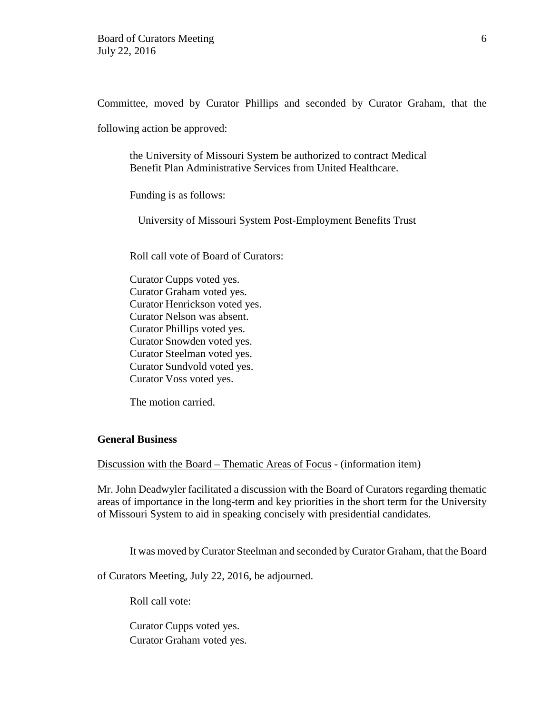Committee, moved by Curator Phillips and seconded by Curator Graham, that the

following action be approved:

the University of Missouri System be authorized to contract Medical Benefit Plan Administrative Services from United Healthcare.

Funding is as follows:

University of Missouri System Post-Employment Benefits Trust

Roll call vote of Board of Curators:

Curator Cupps voted yes. Curator Graham voted yes. Curator Henrickson voted yes. Curator Nelson was absent. Curator Phillips voted yes. Curator Snowden voted yes. Curator Steelman voted yes. Curator Sundvold voted yes. Curator Voss voted yes.

The motion carried.

## **General Business**

Discussion with the Board – Thematic Areas of Focus - (information item)

Mr. John Deadwyler facilitated a discussion with the Board of Curators regarding thematic areas of importance in the long-term and key priorities in the short term for the University of Missouri System to aid in speaking concisely with presidential candidates.

It was moved by Curator Steelman and seconded by Curator Graham, that the Board

of Curators Meeting, July 22, 2016, be adjourned.

Roll call vote:

Curator Cupps voted yes. Curator Graham voted yes.